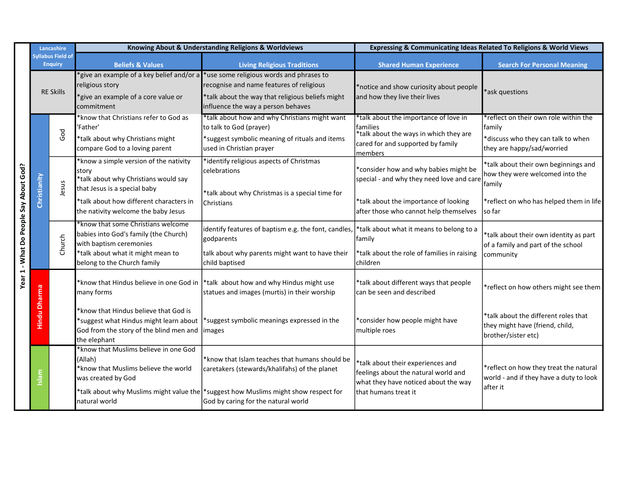|                                        | Lancashire          |                                            | Knowing About & Understanding Religions & Worldviews                                                                                       |                                                                                                                                                                                | Expressing & Communicating Ideas Related To Religions & World Views                                                                         |                                                                                                                     |
|----------------------------------------|---------------------|--------------------------------------------|--------------------------------------------------------------------------------------------------------------------------------------------|--------------------------------------------------------------------------------------------------------------------------------------------------------------------------------|---------------------------------------------------------------------------------------------------------------------------------------------|---------------------------------------------------------------------------------------------------------------------|
|                                        |                     | <b>Syllabus Field of</b><br><b>Enquiry</b> | <b>Beliefs &amp; Values</b>                                                                                                                | <b>Living Religious Traditions</b>                                                                                                                                             | <b>Shared Human Experience</b>                                                                                                              | <b>Search For Personal Meaning</b>                                                                                  |
|                                        | <b>RE Skills</b>    |                                            | 'give an example of a key belief and/or a<br>religious story<br>*give an example of a core value or<br>commitment                          | *use some religious words and phrases to<br>recognise and name features of religious<br>*talk about the way that religious beliefs might<br>influence the way a person behaves | *notice and show curiosity about people<br>and how they live their lives                                                                    | *ask questions                                                                                                      |
|                                        |                     | God                                        | *know that Christians refer to God as<br>'Father'<br>*talk about why Christians might<br>compare God to a loving parent                    | *talk about how and why Christians might want<br>to talk to God (prayer)<br>*suggest symbolic meaning of rituals and items<br>used in Christian prayer                         | *talk about the importance of love in<br>families<br>*talk about the ways in which they are<br>cared for and supported by family<br>members | *reflect on their own role within the<br>family<br>*discuss who they can talk to when<br>they are happy/sad/worried |
|                                        | Christianity        | Jesus                                      | *know a simple version of the nativity<br>story<br>*talk about why Christians would say<br>that Jesus is a special baby                    | *identify religious aspects of Christmas<br>celebrations<br>*talk about why Christmas is a special time for                                                                    | *consider how and why babies might be<br>special - and why they need love and care                                                          | *talk about their own beginnings and<br>how they were welcomed into the<br>family                                   |
|                                        |                     |                                            | *talk about how different characters in<br>the nativity welcome the baby Jesus                                                             | Christians                                                                                                                                                                     | *talk about the importance of looking<br>after those who cannot help themselves                                                             | *reflect on who has helped them in life<br>so far                                                                   |
| Year 1 - What Do People Say About God? |                     | Church                                     | *know that some Christians welcome<br>babies into God's family (the Church)<br>with baptism ceremonies                                     | identify features of baptism e.g. the font, candles, *talk about what it means to belong to a<br>godparents                                                                    | family                                                                                                                                      | *talk about their own identity as part<br>of a family and part of the school                                        |
|                                        |                     |                                            | *talk about what it might mean to<br>belong to the Church family                                                                           | talk about why parents might want to have their<br>child baptised                                                                                                              | *talk about the role of families in raising<br>children                                                                                     | community                                                                                                           |
|                                        | <b>Hindu Dharma</b> |                                            | *know that Hindus believe in one God in<br>many forms                                                                                      | *talk about how and why Hindus might use<br>statues and images (murtis) in their worship                                                                                       | *talk about different ways that people<br>can be seen and described                                                                         | *reflect on how others might see them                                                                               |
|                                        |                     |                                            | *know that Hindus believe that God is<br>*suggest what Hindus might learn about<br>God from the story of the blind men and<br>the elephant | *suggest symbolic meanings expressed in the<br> images                                                                                                                         | *consider how people might have<br>multiple roes                                                                                            | *talk about the different roles that<br>they might have (friend, child,<br>brother/sister etc)                      |
|                                        | Islam               |                                            | *know that Muslims believe in one God<br>(Allah)<br>*know that Muslims believe the world<br>was created by God                             | *know that Islam teaches that humans should be<br>caretakers (stewards/khalifahs) of the planet                                                                                | *talk about their experiences and<br>feelings about the natural world and<br>what they have noticed about the way                           | *reflect on how they treat the natural<br>world - and if they have a duty to look<br>after it                       |
|                                        |                     |                                            | natural world                                                                                                                              | *talk about why Muslims might value the *suggest how Muslims might show respect for<br>God by caring for the natural world                                                     | that humans treat it                                                                                                                        |                                                                                                                     |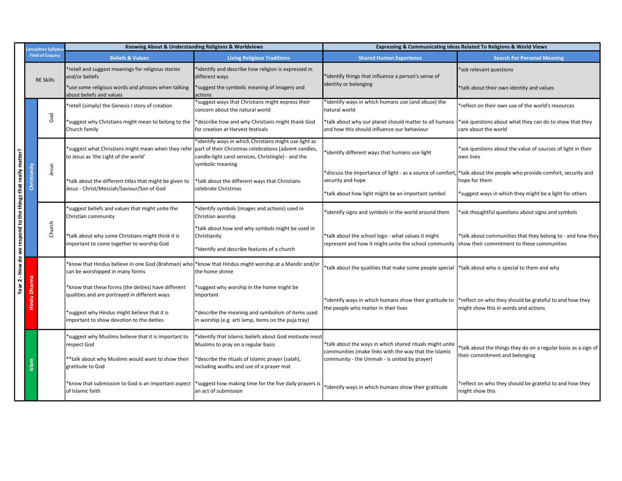|                                                              |              | ancashire Syllabu:      | Knowing About & Understanding Religions & Worldviews                                                 |                                                                                                                                                                                           | Expressing & Communicating Ideas Related To Religions & World Views                                                                   |                                                                                                                                     |
|--------------------------------------------------------------|--------------|-------------------------|------------------------------------------------------------------------------------------------------|-------------------------------------------------------------------------------------------------------------------------------------------------------------------------------------------|---------------------------------------------------------------------------------------------------------------------------------------|-------------------------------------------------------------------------------------------------------------------------------------|
|                                                              |              | <b>Field of Enquiry</b> | <b>Beliefs &amp; Values</b>                                                                          | <b>Living Religious Traditions</b>                                                                                                                                                        | <b>Shared Human Experience</b>                                                                                                        | <b>Search For Personal Meaning</b>                                                                                                  |
|                                                              |              | <b>RE Skills</b>        | retell and suggest meanings for religious stories<br>and/or beliefs                                  | *identify and describe how religion is expressed in<br>different ways                                                                                                                     | identify things that influence a person's sense of                                                                                    | ask relevant questions                                                                                                              |
|                                                              |              |                         | 'use some religious words and phrases when talking<br>about beliefs and values                       | *suggest the symbolic meaning of imagery and<br>actions                                                                                                                                   | identity or belonging                                                                                                                 | *talk about their own identity and values                                                                                           |
| Year 2 - How do we respond to the things that really matter? |              |                         | *retell (simply) the Genesis I story of creation                                                     | *suggest ways that Christians might express their<br>concern about the natural world                                                                                                      | *identify ways in which humans use (and abuse) the<br>natural world                                                                   | *reflect on their own use of the world's resources                                                                                  |
|                                                              |              | God                     | 'suggest why Christians might mean to belong to the<br>Church family                                 | *describe how and why Christians might thank God<br>for creation at Harvest festivals                                                                                                     | *talk about why our planet should matter to all humans -<br>and how this should influence our behaviour                               | *ask questions about what they can do to show that they<br>care about the world                                                     |
|                                                              |              |                         | *suggest what Christians might mean when they refer<br>to Jesus as 'the Light of the world'          | *identify ways in which Christians might use light as<br>part of their Christmas celebrations (advent candles,<br>candle-light carol services, Christingle) - and the<br>symbolic meaning | identify different ways that humans use light                                                                                         | *ask questions about the value of sources of light in their<br>own lives                                                            |
|                                                              | Christianity | Jesus                   | *talk about the different titles that might be given to<br>Jesus - Christ/Messiah/Saviour/Son of God | *talk about the different ways that Christians<br>celebrate Christmas                                                                                                                     | *discuss the importance of light - as a source of comfort,<br>security and hope<br>*talk about how light might be an important symbol | *talk about the people who provide comfort, security and<br>ope for them<br>*suggest ways in which they might be a light for others |
|                                                              |              |                         | *suggest beliefs and values that might unite the<br>Christian community                              | *identify symbols (images and actions) used in<br>Christian worship                                                                                                                       | *identify signs and symbols in the world around them                                                                                  | *ask thoughtful questions about signs and symbols                                                                                   |
|                                                              |              | Church                  | *talk about why some Christians might think it is<br>important to come together to worship God       | *talk about how and why symbols might be used in<br>Christianity<br>*Identify and describe features of a church                                                                           | *talk about the school logo - what values it might<br>represent and how it might unite the school community                           | *talk about communities that they belong to - and how they<br>show their commitment to these communities                            |
|                                                              |              |                         | *know that Hindus believe in one God (Brahman) who<br>can be worshipped in many forms                | *know that Hindus might worship at a Mandir and/or<br>the home shrine                                                                                                                     | talk about the qualities that make some people special                                                                                | *talk about who is special to them and why                                                                                          |
|                                                              |              |                         | *know that these forms (the deities) have different<br>qualities and are portrayed in different ways | suggest why worship in the home might be*<br>important                                                                                                                                    | *identify ways in which humans show their gratitude to                                                                                | *reflect on who they should be grateful to and how they                                                                             |
|                                                              |              |                         | *suggest why Hindus might believe that it is<br>important to show devotion to the deities            | *describe the meaning and symbolism of items used<br>in worship (e.g. arti lamp, items on the puja tray)                                                                                  | the people who matter in their lives                                                                                                  | might show this in words and actions                                                                                                |
|                                                              |              |                         | suggest why Muslims believe that it is important to<br>respect God                                   | *identify that Islamic beliefs about God motivate most<br>Muslims to pray on a regular basis                                                                                              | *talk about the ways in which shared rituals might unite<br>communities (make links with the way that the Islamic                     | talk about the things they do on a regular basis as a sign of                                                                       |
|                                                              |              |                         | **talk about why Muslims would want to show their<br>gratitude to God                                | *describe the rituals of Islamic prayer (salah),<br>including wudhu and use of a prayer mat                                                                                               | community - the Ummah - is united by prayer)                                                                                          | their commitment and belonging                                                                                                      |
|                                                              |              |                         | *know that submission to God is an important aspect<br>of Islamic faith                              | *suggest how making time for the five daily prayers is<br>an act of submission                                                                                                            | *identify ways in which humans show their gratitude                                                                                   | reflect on who they should be grateful to and how they<br>might show this                                                           |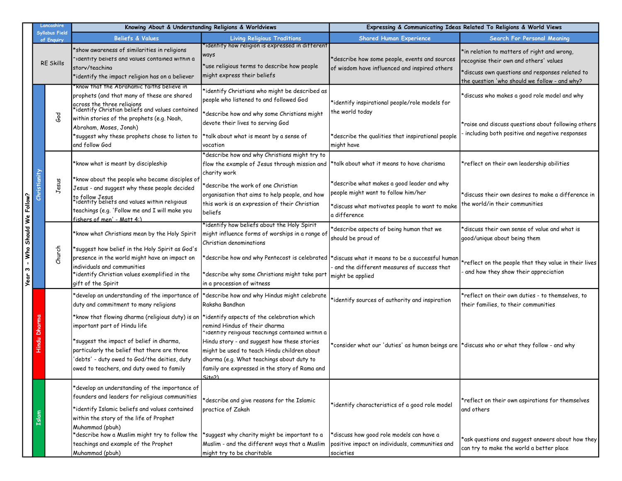|                   | Lancashire                          | Knowing About & Understanding Religions & Worldviews                                                                                                                                                                                                                      |                                                                                                                                                                                                                                                                                                                                      | Expressing & Communicating Ideas Related To Religions & World Views                                                                                              |                                                                                                                                                                                           |
|-------------------|-------------------------------------|---------------------------------------------------------------------------------------------------------------------------------------------------------------------------------------------------------------------------------------------------------------------------|--------------------------------------------------------------------------------------------------------------------------------------------------------------------------------------------------------------------------------------------------------------------------------------------------------------------------------------|------------------------------------------------------------------------------------------------------------------------------------------------------------------|-------------------------------------------------------------------------------------------------------------------------------------------------------------------------------------------|
|                   | <b>Syllabus Field</b><br>of Enquiry | <b>Beliefs &amp; Values</b>                                                                                                                                                                                                                                               | <b>Living Religious Traditions</b>                                                                                                                                                                                                                                                                                                   | <b>Shared Human Experience</b>                                                                                                                                   | Search For Personal Meaning                                                                                                                                                               |
|                   | <b>RE Skills</b>                    | *show awareness of similarities in religions<br>"identity beliets and values contained within a<br>storv/teachina<br>*identify the impact religion has on a believer                                                                                                      | identify how religion is expressed in different'<br>ways<br>*use religious terms to describe how people<br>might express their beliefs                                                                                                                                                                                               | *describe how some people, events and sources<br>of wisdom have influenced and inspired others                                                                   | *in relation to matters of right and wrong,<br>recognise their own and others' values<br>*discuss own questions and responses related to<br>the question 'who should we follow - and why? |
|                   | God                                 | 'Know that the Abrahamic faiths believe in<br>prophets (and that many of these are shared<br>across the three religions<br>*identify Christian beliefs and values contained<br>within stories of the prophets (e.g. Noah,                                                 | *identify Christians who might be described as<br>people who listened to and followed God<br>*describe how and why some Christians might                                                                                                                                                                                             | *identify inspirational people/role models for<br>the world today                                                                                                | *discuss who makes a good role model and why                                                                                                                                              |
|                   |                                     | Abraham, Moses, Jonah)<br>*suggest why these prophets chose to listen to<br>and follow God                                                                                                                                                                                | devote their lives to serving God<br>*talk about what is meant by a sense of<br>vocation                                                                                                                                                                                                                                             | *describe the qualities that inspirational people<br>might have                                                                                                  | *raise and discuss questions about following others<br>including both positive and negative responses                                                                                     |
|                   |                                     | *know what is meant by discipleship                                                                                                                                                                                                                                       | *describe how and why Christians might try to<br>flow the example of Jesus through mission and  *talk about what it means to have charisma<br>charity work                                                                                                                                                                           |                                                                                                                                                                  | *reflect on their own leadership abilities                                                                                                                                                |
| Should We Follow? | Christianity<br>Jesus               | *know about the people who became disciples of<br>Jesus - and suggest why these people decided<br>to follow Jesus<br>*identity beliets and values within religious<br>teachings (e.g. 'Follow me and I will make you<br>fishers of men' - Matt 4:)                        | *describe the work of one Christian<br>organisation that aims to help people, and how<br>this work is an expression of their Christian<br>beliefs                                                                                                                                                                                    | *describe what makes a good leader and why<br>people might want to follow him/her<br>*discuss what motivates people to want to make<br>a difference              | *discuss their own desires to make a difference in<br>the world/in their communities                                                                                                      |
|                   |                                     | *know what Christians mean by the Holy Spirit<br>*suggest how belief in the Holy Spirit as God's                                                                                                                                                                          | identify how beliefs about the Holy Spirit'<br> might influence forms of worships in a range of<br>Christian denominations                                                                                                                                                                                                           | describe aspects of being human that we<br>should be proud of                                                                                                    | discuss their own sense of value and what is'<br>good/unique about being them                                                                                                             |
| Nho<br>w<br>Year  | Church                              | presence in the world might have an impact on<br>individuals and communities<br>*identify Christian values exemplified in the<br>gift of the Spirit                                                                                                                       | *describe why some Christians might take part<br>in a procession of witness                                                                                                                                                                                                                                                          | *describe how and why Pentecost is celebrated  *discuss what it means to be a successful human<br>and the different measures of success that<br>might be applied | *reflect on the people that they value in their lives<br>and how they show their appreciation                                                                                             |
| Hindu             |                                     | *develop an understanding of the importance of<br>duty and commitment to many religions                                                                                                                                                                                   | *describe how and why Hindus might celebrate<br>Raksha Bandhan                                                                                                                                                                                                                                                                       | *identify sources of authority and inspiration                                                                                                                   | *reflect on their own duties - to themselves, to<br>their families, to their communities                                                                                                  |
|                   | Dhar                                | *know that flowing dharma (religious duty) is an<br>important part of Hindu life<br>*suggest the impact of belief in dharma,<br>particularly the belief that there are three<br>'debts' - duty owed to God/the deities, duty<br>owed to teachers, and duty owed to family | *identify aspects of the celebration which<br>remind Hindus of their dharma<br>identity religious teachings contained within a<br>Hindu story - and suggest how these stories<br>might be used to teach Hindu children about<br>dharma (e.g. What teachings about duty to<br>family are expressed in the story of Rama and<br>(Sita2 | $\star$ consider what our 'duties' as human beings are $\vert\star$ discuss who or what they follow - and why                                                    |                                                                                                                                                                                           |
|                   |                                     | *develop an understanding of the importance of<br>founders and leaders for religious communities<br>*identify Islamic beliefs and values contained<br>within the story of the life of Prophet<br>Muhammad (pbuh)                                                          | *describe and give reasons for the Islamic<br>practice of Zakah                                                                                                                                                                                                                                                                      | *identify characteristics of a good role model                                                                                                                   | *reflect on their own aspirations for themselves<br>and others                                                                                                                            |
|                   |                                     | *describe how a Muslim might try to follow the<br>teachings and example of the Prophet<br>Muhammad (pbuh)                                                                                                                                                                 | suggest why charity might be important to a<br>Muslim - and the different ways that a Muslim<br>might try to be charitable                                                                                                                                                                                                           | *discuss how good role models can have a<br>positive impact on individuals, communities and<br>societies                                                         | *ask questions and suggest answers about how they<br>can try to make the world a better place                                                                                             |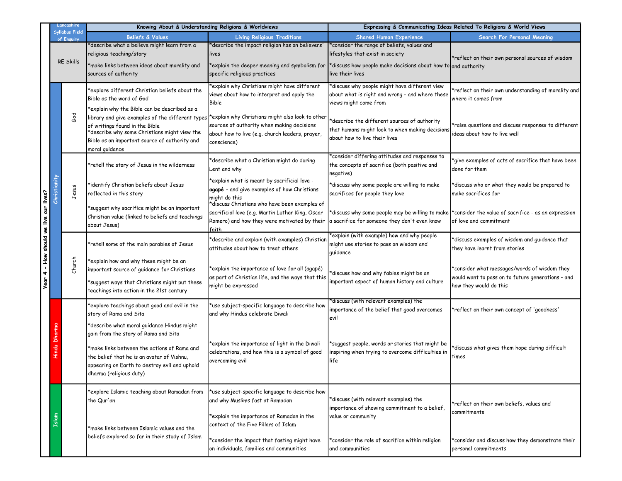|                                 |              | Lancashire                   | Knowing About & Understanding Religions & Worldviews                                                                                                                                                                            |                                                                                                                                                               | Expressing & Communicating Ideas Related To Religions & World Views                                                                                                       |                                                                                                                                |
|---------------------------------|--------------|------------------------------|---------------------------------------------------------------------------------------------------------------------------------------------------------------------------------------------------------------------------------|---------------------------------------------------------------------------------------------------------------------------------------------------------------|---------------------------------------------------------------------------------------------------------------------------------------------------------------------------|--------------------------------------------------------------------------------------------------------------------------------|
|                                 |              | Syllabus Field<br>of Enquiry | <b>Beliefs &amp; Values</b>                                                                                                                                                                                                     | <b>Living Religious Traditions</b>                                                                                                                            | <b>Shared Human Experience</b>                                                                                                                                            | Search For Personal Meaning                                                                                                    |
|                                 |              | <b>RE Skills</b>             | *describe what a believe might learn from a<br>religious teaching/story<br>*make links between ideas about morality and<br>sources of authority                                                                                 | describe the impact religion has on believers'<br>lives<br>explain the deeper meaning and symbolism for*<br>specific religious practices                      | *consider the range of beliefs, values and<br>lifestyles that exist in society<br>*discuss how people make decisions about how to and authority<br>live their lives       | *reflect on their own personal sources of wisdom                                                                               |
|                                 |              | $\epsilon$ od                | *explore different Christian beliefs about the<br>Bible as the word of God<br>*explain why the Bible can be described as a<br>library and give examples of the different types *explain why Christians might also look to other | *explain why Christians might have different<br>views about how to interpret and apply the<br><b>Bible</b>                                                    | *discuss why people might have different view<br>about what is right and wrong - and where these<br>views might come from<br>*describe the different sources of authority | *reflect on their own understanding of morality and<br>where it comes from                                                     |
|                                 |              |                              | of writings found in the Bible<br>*describe why some Christians might view the<br>Bible as an important source of authority and<br>moral guidance                                                                               | sources of authority when making decisions<br>about how to live (e.g. church leaders, prayer,<br>conscience)                                                  | that humans might look to when making decisions<br>about how to live their lives                                                                                          | *raise questions and discuss responses to different<br>ideas about how to live well                                            |
|                                 |              |                              | *retell the story of Jesus in the wilderness                                                                                                                                                                                    | *describe what a Christian might do during<br>Lent and why                                                                                                    | *consider differing attitudes and responses to<br>the concepts of sacrifice (both positive and<br>negative)                                                               | *give examples of acts of sacrifice that have been<br>done for them                                                            |
|                                 | Christianity | Jesus                        | *identify Christian beliefs about Jesus<br>reflected in this story                                                                                                                                                              | *explain what is meant by sacrificial love -<br>agapé - and give examples of how Christians<br>might do this<br>*discuss Christians who have been examples of | *discuss why some people are willing to make<br>sacrifices for people they love                                                                                           | *discuss who or what they would be prepared to<br>make sacrifices for                                                          |
| - How should we live our lives? |              |                              | *suggest why sacrifice might be an important<br>Christian value (linked to beliefs and teachings<br>about Jesus)                                                                                                                | sacrificial love (e.g. Martin Luther King, Oscar<br>Romero) and how they were motivated by their<br>faith                                                     | a sacrifice for someone they don't even know                                                                                                                              | discuss why some people may be willing to make  *consider the value of sacrifice - as an expression*<br>of love and commitment |
|                                 |              |                              | *retell some of the main parables of Jesus                                                                                                                                                                                      | *describe and explain (with examples) Christiar<br>attitudes about how to treat others                                                                        | *explain (with example) how and why people<br>might use stories to pass on wisdom and<br>guidance                                                                         | *discuss examples of wisdom and guidance that<br>they have learnt from stories                                                 |
| 4<br>Year                       |              | Church                       | *explain how and why these might be an<br>important source of guidance for Christians<br>*suggest ways that Christians might put these<br>teachings into action in the 21st century                                             | *explain the importance of love for all (agapé)<br>as part of Christian life, and the ways that this<br>might be expressed                                    | *discuss how and why fables might be an<br>important aspect of human history and culture                                                                                  | *consider what messages/words of wisdom they<br>would want to pass on to future generations - and<br>how they would do this    |
|                                 |              |                              | explore teachings about good and evil in the*<br>story of Rama and Sita<br>*describe what moral guidance Hindus might                                                                                                           | tuse subject-specific language to describe how<br>and why Hindus celebrate Diwali                                                                             | discuss (with relevant examples) the*<br>importance of the belief that good overcomes<br>evil                                                                             | *reflect on their own concept of 'goodness'                                                                                    |
|                                 |              |                              | gain from the story of Rama and Sita<br>*make links between the actions of Rama and<br>the belief that he is an avatar of Vishnu,<br>appearing on Earth to destroy evil and uphold<br>dharma (religious duty)                   | *explain the importance of light in the Diwali<br>celebrations, and how this is a symbol of good<br>overcoming evil                                           | *suggest people, words or stories that might be<br>inspiring when trying to overcome difficulties in<br>life                                                              | *discuss what gives them hope during difficult<br>times                                                                        |
|                                 |              |                              | *explore Islamic teaching about Ramadan from<br>the Qur'an                                                                                                                                                                      | *use subject-specific language to describe how<br>and why Muslims fast at Ramadan                                                                             | *discuss (with relevant examples) the<br>importance of showing commitment to a belief,                                                                                    | *reflect on their own beliefs, values and                                                                                      |
|                                 | Islam        |                              | *make links between Islamic values and the                                                                                                                                                                                      | *explain the importance of Ramadan in the<br>context of the Five Pillars of Islam                                                                             | value or community                                                                                                                                                        | commitments                                                                                                                    |
|                                 |              |                              | beliefs explored so far in their study of Islam                                                                                                                                                                                 | *consider the impact that fasting might have<br>on individuals, families and communities                                                                      | *consider the role of sacrifice within religion<br>and communities                                                                                                        | *consider and discuss how they demonstrate their<br>personal commitments                                                       |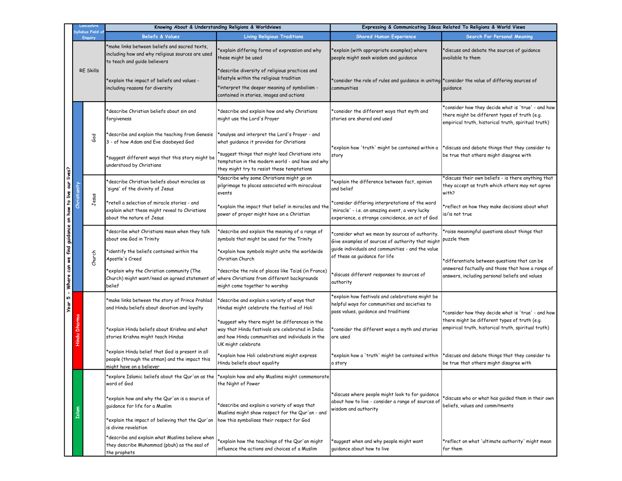|                                                                  |                          | Lancashire                         | Knowing About & Understanding Religions & Worldviews                                                                             |                                                                                                                                                                              | Expressing & Communicating Ideas Related To Religions & World Views                                                                                  |                                                                                                                                                            |
|------------------------------------------------------------------|--------------------------|------------------------------------|----------------------------------------------------------------------------------------------------------------------------------|------------------------------------------------------------------------------------------------------------------------------------------------------------------------------|------------------------------------------------------------------------------------------------------------------------------------------------------|------------------------------------------------------------------------------------------------------------------------------------------------------------|
|                                                                  |                          | iyllabus Field o<br><b>Enquiry</b> | <b>Beliefs &amp; Values</b>                                                                                                      | <b>Living Religious Traditions</b>                                                                                                                                           | <b>Shared Human Experience</b>                                                                                                                       | Search For Personal Meaning                                                                                                                                |
| - Where can we find guidance on how to live our lives?<br>Year 5 |                          | <b>RE Skills</b>                   | make links between beliefs and sacred texts,<br>including how and why religious sources are used<br>to teach and guide believers | explain differing forms of expression and why<br>these might be used<br>*describe diversity of religious practices and                                                       | explain (with appropriate examples) where<br>people might seek wisdom and guidance                                                                   | *discuss and debate the sources of guidance<br>available to them                                                                                           |
|                                                                  |                          |                                    | explain the impact of beliefs and values -<br>including reasons for diversity                                                    | lifestyle within the religious tradition<br>*interpret the deeper meaning of symbolism -<br>contained in stories, images and actions                                         | consider the role of rules and guidance in uniting *consider the value of differing sources of '<br>communities                                      | quidance                                                                                                                                                   |
|                                                                  |                          | God                                | describe Christian beliefs about sin and<br>forgiveness                                                                          | describe and explain how and why Christians*<br>might use the Lord's Prayer                                                                                                  | *consider the different ways that myth and<br>stories are shared and used                                                                            | *consider how they decide what is 'true' - and how<br>there might be different types of truth (e.g.<br>empirical truth, historical truth, spiritual truth) |
|                                                                  |                          |                                    | describe and explain the teaching from Genesis*<br>3 - of how Adam and Eve disobeyed God                                         | *analyse and interpret the Lord's Prayer - and<br>what guidance it provides for Christians                                                                                   | *explain how 'truth' might be contained within a                                                                                                     | *discuss and debate things that they consider to                                                                                                           |
|                                                                  |                          |                                    | suggest different ways that this story might be*<br>understood by Christians                                                     | suggest things that might lead Christians into<br>temptation in the modern world - and how and why<br>they might try to resist these temptations                             | story                                                                                                                                                | be true that others might disagree with                                                                                                                    |
|                                                                  | Christianit <sub>)</sub> |                                    | describe Christian beliefs about miracles as<br>signs' of the divinity of Jesus                                                  | *describe why some Christians might go on<br>pilgrimage to places associated with miraculous<br>events                                                                       | *explain the difference between fact, opinion<br>and belief                                                                                          | *discuss their own beliefs - is there anything that<br>they accept as truth which others may not agree<br>with?                                            |
|                                                                  |                          | Jesus                              | retell a selection of miracle stories - and<br>explain what these might reveal to Christians<br>about the nature of Jesus        | *explain the impact that belief in miracles and the<br>power of prayer might have on a Christian                                                                             | consider differing interpretations of the word<br>miracle' - i.e. an amazing event, a very lucky<br>experience, a strange coincidence, an act of God | *reflect on how they make decisions about what<br>is/is not true                                                                                           |
|                                                                  |                          | Church                             | describe what Christians mean when they talk'<br>about one God in Trinity                                                        | describe and explain the meaning of a range of'<br>symbols that might be used for the Trinity                                                                                | consider what we mean by sources of authority.<br>Give examples of sources of authority that might                                                   | raise meaningful questions about things that<br>puzzle them                                                                                                |
|                                                                  |                          |                                    | identify the beliefs contained within the<br>Apostle's Creed                                                                     | *explain how symbols might unite the worldwide<br>Christian Church                                                                                                           | quide individuals and communities - and the value<br>of these as guidance for life                                                                   | *differentiate between questions that can be                                                                                                               |
|                                                                  |                          |                                    | *explain why the Christian community (The<br>Church) might want/need an agreed statement of<br>belief                            | *describe the role of places like Taizé (in France)<br>where Christians from different backgrounds<br>might come together to worship                                         | discuss different responses to sources of<br>authority                                                                                               | answered factually and those that have a range of<br>answers, including personal beliefs and values                                                        |
|                                                                  |                          |                                    | *make links between the story of Prince Prahlad<br>and Hindu beliefs about devotion and loyalty                                  | describe and explain a variety of ways that<br>Hindus might celebrate the festival of Holi                                                                                   | explain how festivals and celebrations might be<br>helpful ways for communities and societies to<br>pass values, guidance and traditions             | *consider how they decide what is 'true' - and how                                                                                                         |
|                                                                  |                          |                                    | *explain Hindu beliefs about Krishna and what<br>stories Krishna might teach Hindus                                              | *suggest why there might be differences in the<br>way that Hindu festivals are celebrated in India<br>and how Hindu communities and individuals in the<br>UK might celebrate | consider the different ways a myth and stories<br>are used                                                                                           | there might be different types of truth (e.g.<br>empirical truth, historical truth, spiritual truth)                                                       |
|                                                                  |                          |                                    | *explain Hindu belief that God is present in all<br>people (through the atman) and the impact this<br>might have on a believer   | *explain how Holi celebrations might express<br>Hindu beliefs about equality                                                                                                 | explain how a 'truth' might be contained within<br>a story                                                                                           | *discuss and debate things that they consider to<br>be true that others might disagree with                                                                |
|                                                                  |                          |                                    | explore Islamic beliefs about the Qur'an as the<br>word of God                                                                   | *explain how and why Muslims might commemorate<br>the Night of Power                                                                                                         |                                                                                                                                                      |                                                                                                                                                            |
|                                                                  |                          |                                    | *explain how and why the Qur'an is a source of<br>guidance for life for a Muslim                                                 | *describe and explain a variety of ways that<br>Muslims might show respect for the Qur'an - and                                                                              | *discuss where people might look to for guidance<br>about how to live - consider a range of sources of<br>wisdom and authority                       | discuss who or what has guided them in their own'<br>beliefs, values and commitments                                                                       |
|                                                                  |                          |                                    | *explain the impact of believing that the Qur'an<br>is divine revelation                                                         | how this symbolises their respect for God                                                                                                                                    |                                                                                                                                                      |                                                                                                                                                            |
|                                                                  |                          |                                    | *describe and explain what Muslims believe when<br>they describe Muhammad (pbuh) as the seal of<br>the prophets                  | *explain how the teachings of the Qur'an might<br>influence the actions and choices of a Muslim                                                                              | suggest when and why people might want<br>guidance about how to live                                                                                 | *reflect on what 'ultimate authority' might mean<br>for them                                                                                               |